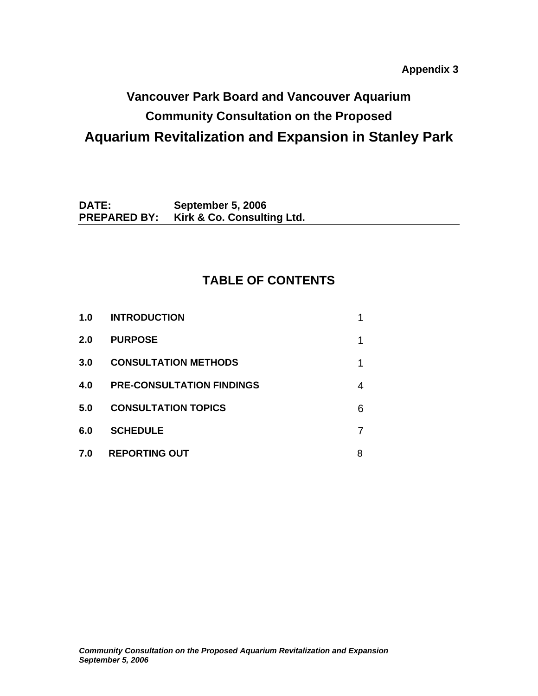**Appendix 3** 

# **Vancouver Park Board and Vancouver Aquarium Community Consultation on the Proposed Aquarium Revitalization and Expansion in Stanley Park**

**DATE: September 5, 2006 PREPARED BY: Kirk & Co. Consulting Ltd.** 

## **TABLE OF CONTENTS**

| 1.0 | <b>INTRODUCTION</b>              |   |
|-----|----------------------------------|---|
| 2.0 | <b>PURPOSE</b>                   | 1 |
| 3.0 | <b>CONSULTATION METHODS</b>      | 1 |
| 4.0 | <b>PRE-CONSULTATION FINDINGS</b> | 4 |
| 5.0 | <b>CONSULTATION TOPICS</b>       | 6 |
| 6.0 | <b>SCHEDULE</b>                  |   |
| 7.0 | <b>REPORTING OUT</b>             | 8 |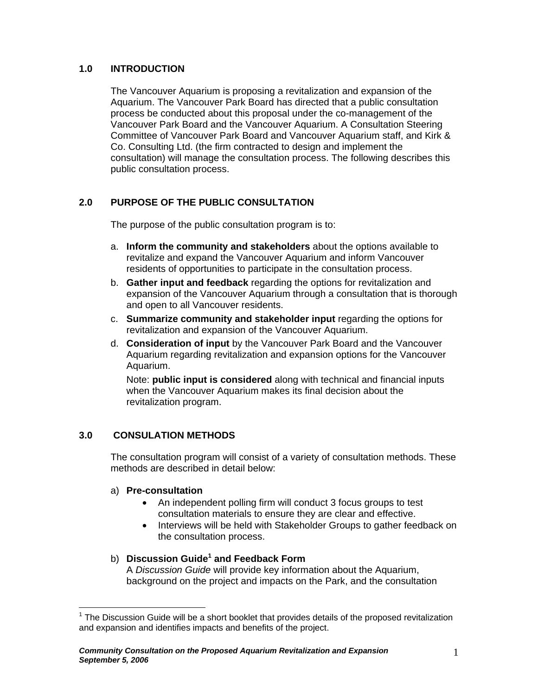## **1.0 INTRODUCTION**

The Vancouver Aquarium is proposing a revitalization and expansion of the Aquarium. The Vancouver Park Board has directed that a public consultation process be conducted about this proposal under the co-management of the Vancouver Park Board and the Vancouver Aquarium. A Consultation Steering Committee of Vancouver Park Board and Vancouver Aquarium staff, and Kirk & Co. Consulting Ltd. (the firm contracted to design and implement the consultation) will manage the consultation process. The following describes this public consultation process.

## **2.0 PURPOSE OF THE PUBLIC CONSULTATION**

The purpose of the public consultation program is to:

- a. **Inform the community and stakeholders** about the options available to revitalize and expand the Vancouver Aquarium and inform Vancouver residents of opportunities to participate in the consultation process.
- b. **Gather input and feedback** regarding the options for revitalization and expansion of the Vancouver Aquarium through a consultation that is thorough and open to all Vancouver residents.
- c. **Summarize community and stakeholder input** regarding the options for revitalization and expansion of the Vancouver Aquarium.
- d. **Consideration of input** by the Vancouver Park Board and the Vancouver Aquarium regarding revitalization and expansion options for the Vancouver Aquarium.

Note: **public input is considered** along with technical and financial inputs when the Vancouver Aquarium makes its final decision about the revitalization program.

## **3.0 CONSULATION METHODS**

The consultation program will consist of a variety of consultation methods. These methods are described in detail below:

#### a) **Pre-consultation**

 $\overline{a}$ 

- An independent polling firm will conduct 3 focus groups to test consultation materials to ensure they are clear and effective.
- Interviews will be held with Stakeholder Groups to gather feedback on the consultation process.

## b) **Discussion Guide<sup>1</sup> and Feedback Form**

A *Discussion Guide* will provide key information about the Aquarium, background on the project and impacts on the Park, and the consultation

 $1$  The Discussion Guide will be a short booklet that provides details of the proposed revitalization and expansion and identifies impacts and benefits of the project.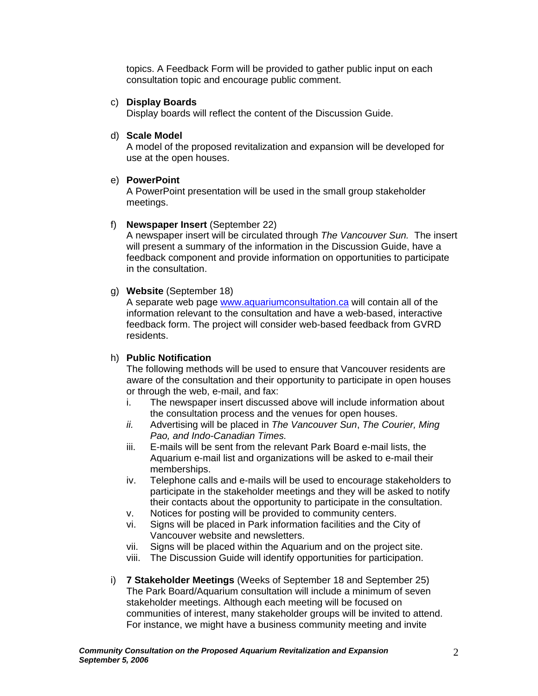topics. A Feedback Form will be provided to gather public input on each consultation topic and encourage public comment.

#### c) **Display Boards**

Display boards will reflect the content of the Discussion Guide.

#### d) **Scale Model**

A model of the proposed revitalization and expansion will be developed for use at the open houses.

#### e) **PowerPoint**

A PowerPoint presentation will be used in the small group stakeholder meetings.

#### f) **Newspaper Insert** (September 22)

A newspaper insert will be circulated through *The Vancouver Sun.* The insert will present a summary of the information in the Discussion Guide, have a feedback component and provide information on opportunities to participate in the consultation.

#### g) **Website** (September 18)

A separate web page www.aquariumconsultation.ca will contain all of the information relevant to the consultation and have a web-based, interactive feedback form. The project will consider web-based feedback from GVRD residents.

#### h) **Public Notification**

The following methods will be used to ensure that Vancouver residents are aware of the consultation and their opportunity to participate in open houses or through the web, e-mail, and fax:

- i. The newspaper insert discussed above will include information about the consultation process and the venues for open houses.
- *ii.* Advertising will be placed in *The Vancouver Sun*, *The Courier, Ming Pao, and Indo-Canadian Times.*
- iii. E-mails will be sent from the relevant Park Board e-mail lists, the Aquarium e-mail list and organizations will be asked to e-mail their memberships.
- iv. Telephone calls and e-mails will be used to encourage stakeholders to participate in the stakeholder meetings and they will be asked to notify their contacts about the opportunity to participate in the consultation.
- v. Notices for posting will be provided to community centers.
- vi. Signs will be placed in Park information facilities and the City of Vancouver website and newsletters.
- vii. Signs will be placed within the Aquarium and on the project site.
- viii. The Discussion Guide will identify opportunities for participation.
- i) **7 Stakeholder Meetings** (Weeks of September 18 and September 25) The Park Board/Aquarium consultation will include a minimum of seven stakeholder meetings. Although each meeting will be focused on communities of interest, many stakeholder groups will be invited to attend. For instance, we might have a business community meeting and invite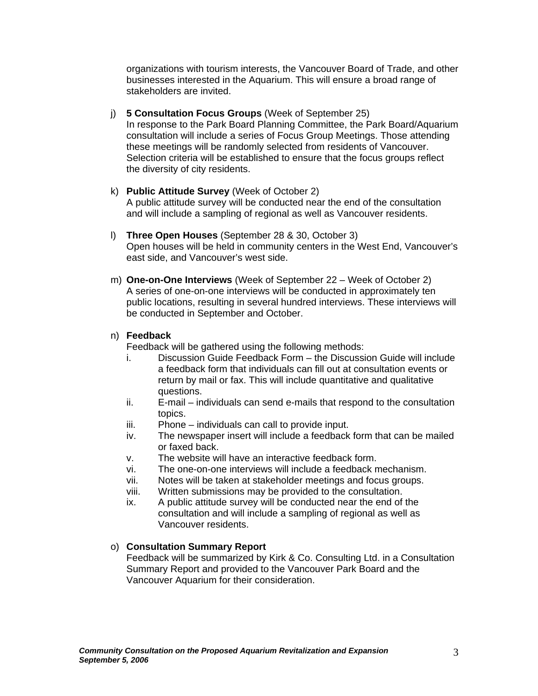organizations with tourism interests, the Vancouver Board of Trade, and other businesses interested in the Aquarium. This will ensure a broad range of stakeholders are invited.

- j) **5 Consultation Focus Groups** (Week of September 25) In response to the Park Board Planning Committee, the Park Board/Aquarium consultation will include a series of Focus Group Meetings. Those attending these meetings will be randomly selected from residents of Vancouver. Selection criteria will be established to ensure that the focus groups reflect the diversity of city residents.
- k) **Public Attitude Survey** (Week of October 2) A public attitude survey will be conducted near the end of the consultation and will include a sampling of regional as well as Vancouver residents.
- l) **Three Open Houses** (September 28 & 30, October 3) Open houses will be held in community centers in the West End, Vancouver's east side, and Vancouver's west side.
- m) **One-on-One Interviews** (Week of September 22 Week of October 2) A series of one-on-one interviews will be conducted in approximately ten public locations, resulting in several hundred interviews. These interviews will be conducted in September and October.

## n) **Feedback**

Feedback will be gathered using the following methods:

- i. Discussion Guide Feedback Form the Discussion Guide will include a feedback form that individuals can fill out at consultation events or return by mail or fax. This will include quantitative and qualitative questions.
- ii. E-mail individuals can send e-mails that respond to the consultation topics.
- iii. Phone individuals can call to provide input.
- iv. The newspaper insert will include a feedback form that can be mailed or faxed back.
- v. The website will have an interactive feedback form.
- vi. The one-on-one interviews will include a feedback mechanism.
- vii. Notes will be taken at stakeholder meetings and focus groups.
- viii. Written submissions may be provided to the consultation.
- ix. A public attitude survey will be conducted near the end of the consultation and will include a sampling of regional as well as Vancouver residents.

## o) **Consultation Summary Report**

Feedback will be summarized by Kirk & Co. Consulting Ltd. in a Consultation Summary Report and provided to the Vancouver Park Board and the Vancouver Aquarium for their consideration.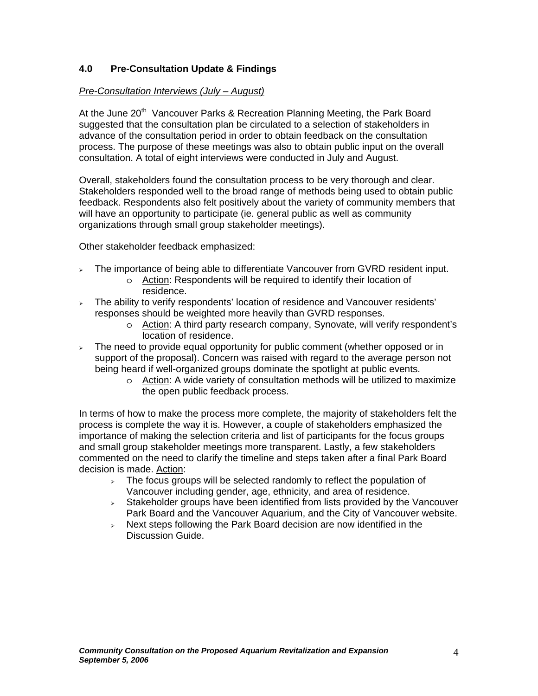## **4.0 Pre-Consultation Update & Findings**

## *Pre-Consultation Interviews (July – August)*

At the June 20<sup>th</sup> Vancouver Parks & Recreation Planning Meeting, the Park Board suggested that the consultation plan be circulated to a selection of stakeholders in advance of the consultation period in order to obtain feedback on the consultation process. The purpose of these meetings was also to obtain public input on the overall consultation. A total of eight interviews were conducted in July and August.

Overall, stakeholders found the consultation process to be very thorough and clear. Stakeholders responded well to the broad range of methods being used to obtain public feedback. Respondents also felt positively about the variety of community members that will have an opportunity to participate (ie. general public as well as community organizations through small group stakeholder meetings).

Other stakeholder feedback emphasized:

- $\overline{\phantom{a}}$  The importance of being able to differentiate Vancouver from GVRD resident input.
	- o Action: Respondents will be required to identify their location of residence.
- $\overline{\phantom{a}}$  The ability to verify respondents' location of residence and Vancouver residents' responses should be weighted more heavily than GVRD responses.
	- o Action: A third party research company, Synovate, will verify respondent's location of residence.
- $\overline{\phantom{a}}$  The need to provide equal opportunity for public comment (whether opposed or in support of the proposal). Concern was raised with regard to the average person not being heard if well-organized groups dominate the spotlight at public events.
	- $\circ$  Action: A wide variety of consultation methods will be utilized to maximize the open public feedback process.

In terms of how to make the process more complete, the majority of stakeholders felt the process is complete the way it is. However, a couple of stakeholders emphasized the importance of making the selection criteria and list of participants for the focus groups and small group stakeholder meetings more transparent. Lastly, a few stakeholders commented on the need to clarify the timeline and steps taken after a final Park Board decision is made. Action:

- $\geq$  The focus groups will be selected randomly to reflect the population of Vancouver including gender, age, ethnicity, and area of residence.
- <sup>¾</sup> Stakeholder groups have been identified from lists provided by the Vancouver Park Board and the Vancouver Aquarium, and the City of Vancouver website.
- $\geq$  Next steps following the Park Board decision are now identified in the Discussion Guide.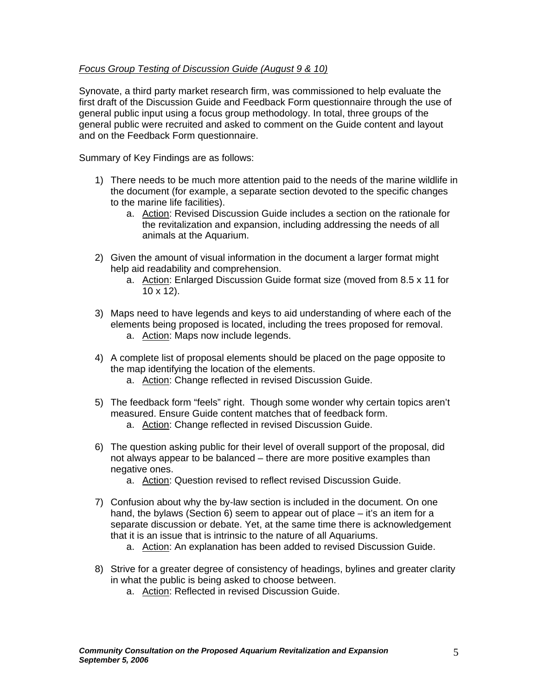## *Focus Group Testing of Discussion Guide (August 9 & 10)*

Synovate, a third party market research firm, was commissioned to help evaluate the first draft of the Discussion Guide and Feedback Form questionnaire through the use of general public input using a focus group methodology. In total, three groups of the general public were recruited and asked to comment on the Guide content and layout and on the Feedback Form questionnaire.

Summary of Key Findings are as follows:

- 1) There needs to be much more attention paid to the needs of the marine wildlife in the document (for example, a separate section devoted to the specific changes to the marine life facilities).
	- a. Action: Revised Discussion Guide includes a section on the rationale for the revitalization and expansion, including addressing the needs of all animals at the Aquarium.
- 2) Given the amount of visual information in the document a larger format might help aid readability and comprehension.
	- a. Action: Enlarged Discussion Guide format size (moved from 8.5 x 11 for  $10 \times 12$ ).
- 3) Maps need to have legends and keys to aid understanding of where each of the elements being proposed is located, including the trees proposed for removal. a. Action: Maps now include legends.
- 4) A complete list of proposal elements should be placed on the page opposite to the map identifying the location of the elements.
	- a. Action: Change reflected in revised Discussion Guide.
- 5) The feedback form "feels" right. Though some wonder why certain topics aren't measured. Ensure Guide content matches that of feedback form.
	- a. Action: Change reflected in revised Discussion Guide.
- 6) The question asking public for their level of overall support of the proposal, did not always appear to be balanced – there are more positive examples than negative ones.
	- a. Action: Question revised to reflect revised Discussion Guide.
- 7) Confusion about why the by-law section is included in the document. On one hand, the bylaws (Section 6) seem to appear out of place – it's an item for a separate discussion or debate. Yet, at the same time there is acknowledgement that it is an issue that is intrinsic to the nature of all Aquariums.
	- a. Action: An explanation has been added to revised Discussion Guide.
- 8) Strive for a greater degree of consistency of headings, bylines and greater clarity in what the public is being asked to choose between.
	- a. Action: Reflected in revised Discussion Guide.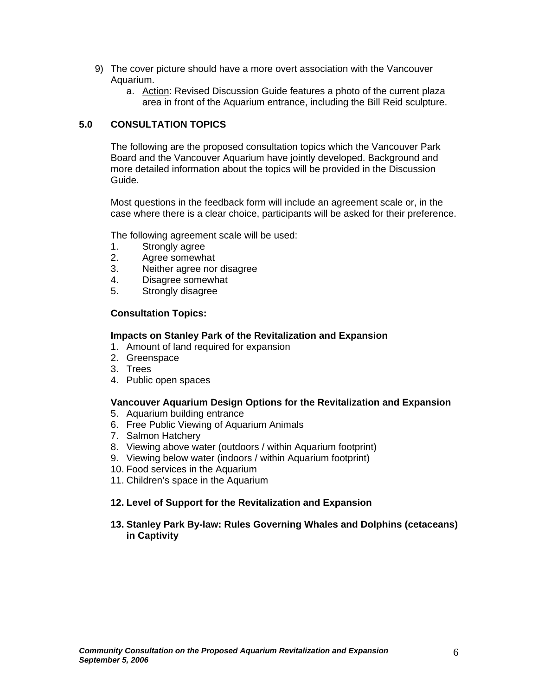- 9) The cover picture should have a more overt association with the Vancouver Aquarium.
	- a. Action: Revised Discussion Guide features a photo of the current plaza area in front of the Aquarium entrance, including the Bill Reid sculpture.

## **5.0 CONSULTATION TOPICS**

The following are the proposed consultation topics which the Vancouver Park Board and the Vancouver Aquarium have jointly developed. Background and more detailed information about the topics will be provided in the Discussion Guide.

Most questions in the feedback form will include an agreement scale or, in the case where there is a clear choice, participants will be asked for their preference.

The following agreement scale will be used:

- 1. Strongly agree
- 2. Agree somewhat
- 3. Neither agree nor disagree
- 4. Disagree somewhat
- 5. Strongly disagree

#### **Consultation Topics:**

#### **Impacts on Stanley Park of the Revitalization and Expansion**

- 1. Amount of land required for expansion
- 2. Greenspace
- 3. Trees
- 4. Public open spaces

#### **Vancouver Aquarium Design Options for the Revitalization and Expansion**

- 5. Aquarium building entrance
- 6. Free Public Viewing of Aquarium Animals
- 7. Salmon Hatchery
- 8. Viewing above water (outdoors / within Aquarium footprint)
- 9. Viewing below water (indoors / within Aquarium footprint)
- 10. Food services in the Aquarium
- 11. Children's space in the Aquarium

## **12. Level of Support for the Revitalization and Expansion**

#### **13. Stanley Park By-law: Rules Governing Whales and Dolphins (cetaceans) in Captivity**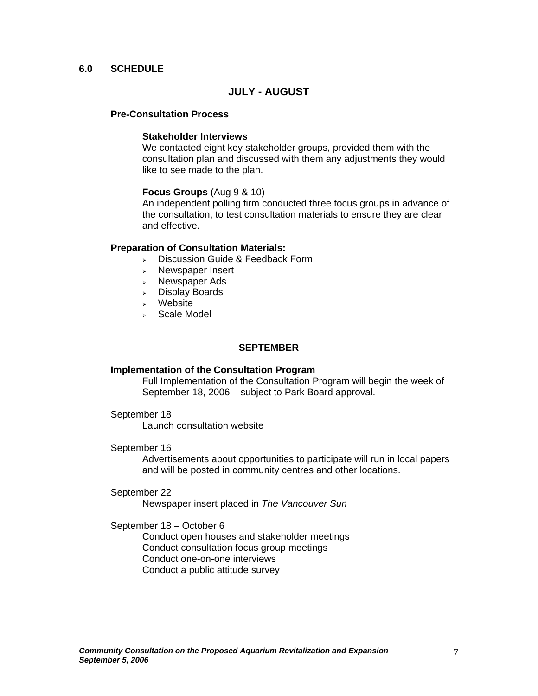## **6.0 SCHEDULE**

## **JULY - AUGUST**

#### **Pre-Consultation Process**

#### **Stakeholder Interviews**

We contacted eight key stakeholder groups, provided them with the consultation plan and discussed with them any adjustments they would like to see made to the plan.

#### **Focus Groups** (Aug 9 & 10)

 An independent polling firm conducted three focus groups in advance of the consultation, to test consultation materials to ensure they are clear and effective.

#### **Preparation of Consultation Materials:**

- <sup>¾</sup> Discussion Guide & Feedback Form
- <sup>¾</sup> Newspaper Insert
- <sup>¾</sup> Newspaper Ads
- Display Boards
- <sup>¾</sup> Website
- <sup>¾</sup> Scale Model

## **SEPTEMBER**

#### **Implementation of the Consultation Program**

Full Implementation of the Consultation Program will begin the week of September 18, 2006 – subject to Park Board approval.

#### September 18

Launch consultation website

#### September 16

Advertisements about opportunities to participate will run in local papers and will be posted in community centres and other locations.

#### September 22

Newspaper insert placed in *The Vancouver Sun*

#### September 18 – October 6

Conduct open houses and stakeholder meetings Conduct consultation focus group meetings Conduct one-on-one interviews Conduct a public attitude survey